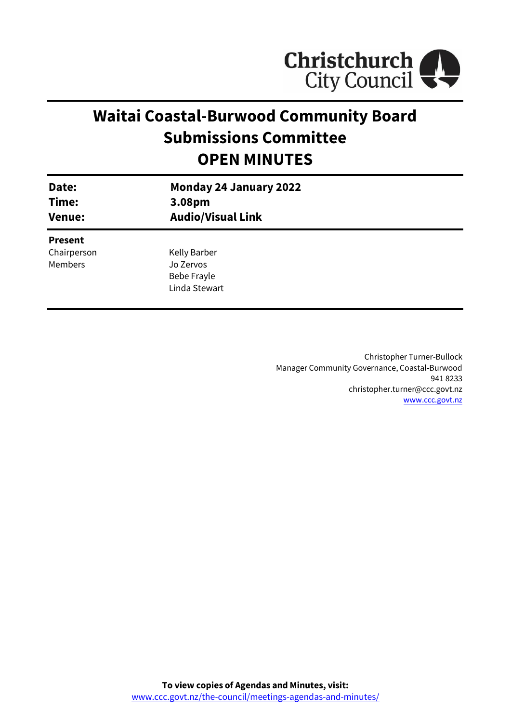

# **Waitai Coastal-Burwood Community Board Submissions Committee OPEN MINUTES**

| Date:<br>Time:<br><b>Venue:</b> | <b>Monday 24 January 2022</b><br>3.08pm<br><b>Audio/Visual Link</b> |
|---------------------------------|---------------------------------------------------------------------|
| <b>Present</b>                  |                                                                     |
| Chairperson                     | Kelly Barber                                                        |
| Members                         | Jo Zervos                                                           |
|                                 | Bebe Frayle                                                         |
|                                 | Linda Stewart                                                       |
|                                 |                                                                     |

Christopher Turner-Bullock Manager Community Governance, Coastal-Burwood 941 8233 christopher.turner@ccc.govt.nz [www.ccc.govt.nz](http://www.ccc.govt.nz/)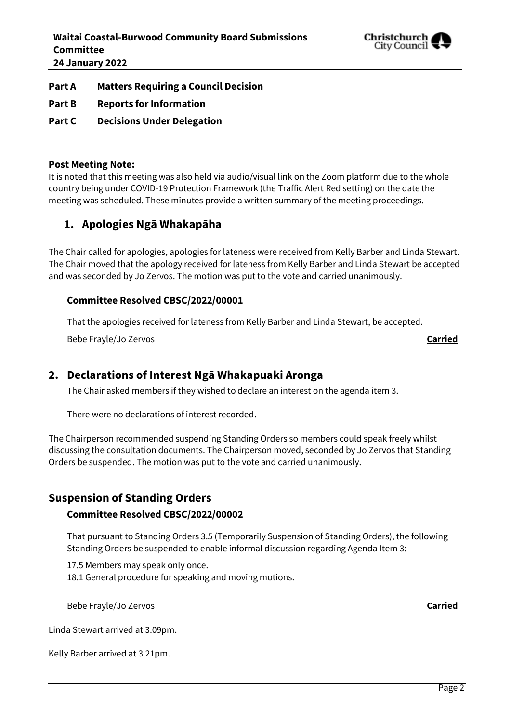

**Part A Matters Requiring a Council Decision**

- **Part B Reports for Information**
- **Part C Decisions Under Delegation**

### **Post Meeting Note:**

It is noted that this meeting was also held via audio/visual link on the Zoom platform due to the whole country being under COVID-19 Protection Framework (the Traffic Alert Red setting) on the date the meeting was scheduled. These minutes provide a written summary of the meeting proceedings.

# **1. Apologies Ngā Whakapāha**

The Chair called for apologies, apologies for lateness were received from Kelly Barber and Linda Stewart. The Chair moved that the apology received for lateness from Kelly Barber and Linda Stewart be accepted and was seconded by Jo Zervos. The motion was put to the vote and carried unanimously.

# **Committee Resolved CBSC/2022/00001**

That the apologies received for lateness from Kelly Barber and Linda Stewart, be accepted.

Bebe Frayle/Jo Zervos **Carried**

# **2. Declarations of Interest Ngā Whakapuaki Aronga**

The Chair asked members if they wished to declare an interest on the agenda item 3.

There were no declarations of interest recorded.

The Chairperson recommended suspending Standing Orders so members could speak freely whilst discussing the consultation documents. The Chairperson moved, seconded by Jo Zervos that Standing Orders be suspended. The motion was put to the vote and carried unanimously.

# **Suspension of Standing Orders**

# **Committee Resolved CBSC/2022/00002**

That pursuant to Standing Orders 3.5 (Temporarily Suspension of Standing Orders), the following Standing Orders be suspended to enable informal discussion regarding Agenda Item 3:

17.5 Members may speak only once. 18.1 General procedure for speaking and moving motions.

Bebe Frayle/Jo Zervos **Carried**

Linda Stewart arrived at 3.09pm.

Kelly Barber arrived at 3.21pm.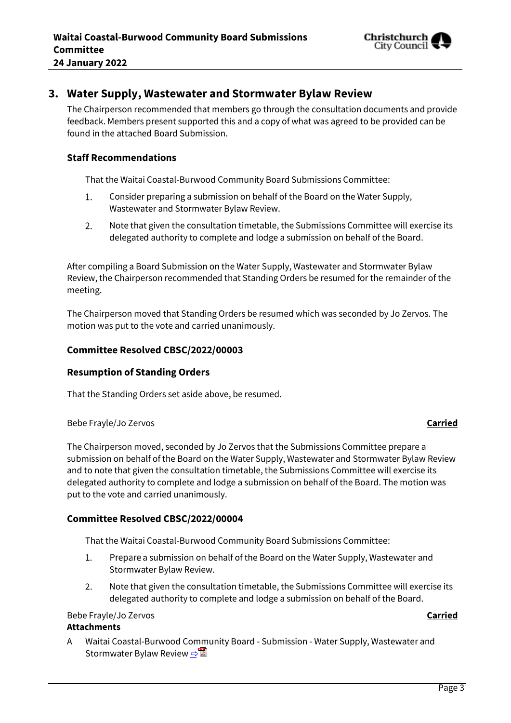

# **3. Water Supply, Wastewater and Stormwater Bylaw Review**

The Chairperson recommended that members go through the consultation documents and provide feedback. Members present supported this and a copy of what was agreed to be provided can be found in the attached Board Submission.

#### **Staff Recommendations**

That the Waitai Coastal-Burwood Community Board Submissions Committee:

- 1. Consider preparing a submission on behalf of the Board on the Water Supply, Wastewater and Stormwater Bylaw Review.
- $2.$ Note that given the consultation timetable, the Submissions Committee will exercise its delegated authority to complete and lodge a submission on behalf of the Board.

After compiling a Board Submission on the Water Supply, Wastewater and Stormwater Bylaw Review, the Chairperson recommended that Standing Orders be resumed for the remainder of the meeting.

The Chairperson moved that Standing Orders be resumed which was seconded by Jo Zervos. The motion was put to the vote and carried unanimously.

#### **Committee Resolved CBSC/2022/00003**

#### **Resumption of Standing Orders**

That the Standing Orders set aside above, be resumed.

#### Bebe Frayle/Jo Zervos **Carried**

The Chairperson moved, seconded by Jo Zervos that the Submissions Committee prepare a submission on behalf of the Board on the Water Supply, Wastewater and Stormwater Bylaw Review and to note that given the consultation timetable, the Submissions Committee will exercise its delegated authority to complete and lodge a submission on behalf of the Board. The motion was put to the vote and carried unanimously.

#### **Committee Resolved CBSC/2022/00004**

That the Waitai Coastal-Burwood Community Board Submissions Committee:

- 1. Prepare a submission on behalf of the Board on the Water Supply, Wastewater and Stormwater Bylaw Review.
- 2. Note that given the consultation timetable, the Submissions Committee will exercise its delegated authority to complete and lodge a submission on behalf of the Board.

#### Bebe Frayle/Jo Zervos **Carried**

#### **Attachments**

A Waitai Coastal-Burwood Community Board - Submission - Water Supply, Wastewater and Stormwater Bylaw Review [⇨](../../../RedirectToInvalidFileName.aspx?FileName=CBSC_20220124_MAT_7595.PDF#PAGE=3)